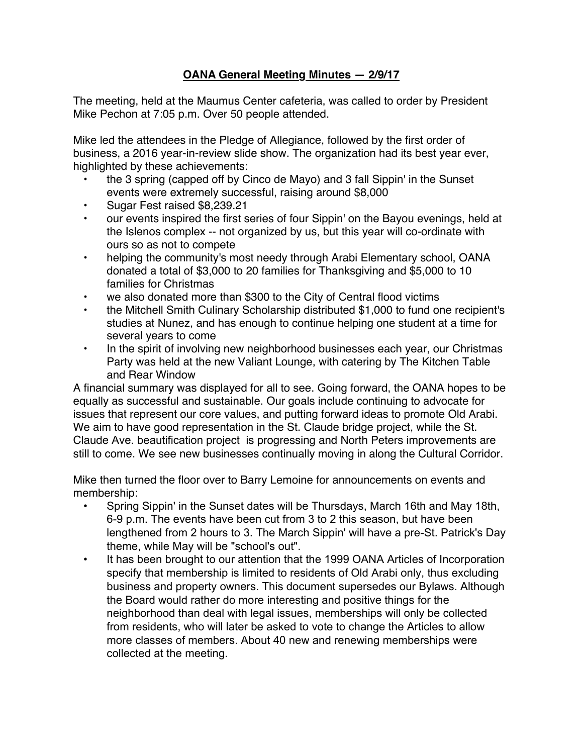## **OANA General Meeting Minutes — 2/9/17**

The meeting, held at the Maumus Center cafeteria, was called to order by President Mike Pechon at 7:05 p.m. Over 50 people attended.

Mike led the attendees in the Pledge of Allegiance, followed by the first order of business, a 2016 year-in-review slide show. The organization had its best year ever, highlighted by these achievements:

- the 3 spring (capped off by Cinco de Mayo) and 3 fall Sippin' in the Sunset events were extremely successful, raising around \$8,000
- Sugar Fest raised \$8,239.21
- our events inspired the first series of four Sippin' on the Bayou evenings, held at the Islenos complex -- not organized by us, but this year will co-ordinate with ours so as not to compete
- helping the community's most needy through Arabi Elementary school, OANA donated a total of \$3,000 to 20 families for Thanksgiving and \$5,000 to 10 families for Christmas
- we also donated more than \$300 to the City of Central flood victims
- the Mitchell Smith Culinary Scholarship distributed \$1,000 to fund one recipient's studies at Nunez, and has enough to continue helping one student at a time for several years to come
- In the spirit of involving new neighborhood businesses each year, our Christmas Party was held at the new Valiant Lounge, with catering by The Kitchen Table and Rear Window

A financial summary was displayed for all to see. Going forward, the OANA hopes to be equally as successful and sustainable. Our goals include continuing to advocate for issues that represent our core values, and putting forward ideas to promote Old Arabi. We aim to have good representation in the St. Claude bridge project, while the St. Claude Ave. beautification project is progressing and North Peters improvements are still to come. We see new businesses continually moving in along the Cultural Corridor.

Mike then turned the floor over to Barry Lemoine for announcements on events and membership:

- Spring Sippin' in the Sunset dates will be Thursdays, March 16th and May 18th, 6-9 p.m. The events have been cut from 3 to 2 this season, but have been lengthened from 2 hours to 3. The March Sippin' will have a pre-St. Patrick's Day theme, while May will be "school's out".
- It has been brought to our attention that the 1999 OANA Articles of Incorporation specify that membership is limited to residents of Old Arabi only, thus excluding business and property owners. This document supersedes our Bylaws. Although the Board would rather do more interesting and positive things for the neighborhood than deal with legal issues, memberships will only be collected from residents, who will later be asked to vote to change the Articles to allow more classes of members. About 40 new and renewing memberships were collected at the meeting.